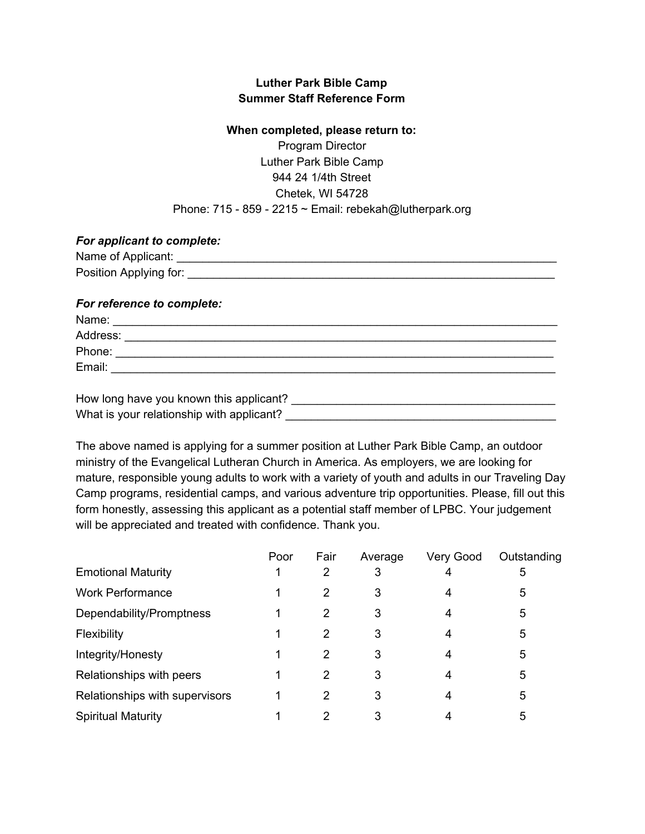## **Luther Park Bible Camp Summer Staff Reference Form**

## **When completed, please return to:**

Program Director Luther Park Bible Camp 944 24 1/4th Street Chetek, WI 54728 Phone: 715 - 859 - 2215  $\sim$  Email: rebekah@lutherpark.org

## *For applicant to complete:*

| Name of Applicant:     |  |
|------------------------|--|
| Position Applying for: |  |

## *For reference to complete:*

| Name:    |  |
|----------|--|
| Address: |  |
| Phone:   |  |
| Email:   |  |
|          |  |

| How long have you known this applicant?   |  |
|-------------------------------------------|--|
| What is your relationship with applicant? |  |

The above named is applying for a summer position at Luther Park Bible Camp, an outdoor ministry of the Evangelical Lutheran Church in America. As employers, we are looking for mature, responsible young adults to work with a variety of youth and adults in our Traveling Day Camp programs, residential camps, and various adventure trip opportunities. Please, fill out this form honestly, assessing this applicant as a potential staff member of LPBC. Your judgement will be appreciated and treated with confidence. Thank you.

|                                | Poor | Fair | Average | Very Good | Outstanding |
|--------------------------------|------|------|---------|-----------|-------------|
| <b>Emotional Maturity</b>      |      | 2    | 3       | 4         | 5           |
| <b>Work Performance</b>        |      | 2    | 3       | 4         | 5           |
| Dependability/Promptness       |      | 2    | 3       | 4         | 5           |
| <b>Flexibility</b>             |      | 2    | 3       | 4         | 5           |
| Integrity/Honesty              |      | 2    | 3       | 4         | 5           |
| Relationships with peers       |      | 2    | 3       | 4         | 5           |
| Relationships with supervisors |      | 2    | 3       | 4         | 5           |
| <b>Spiritual Maturity</b>      |      | 2    | 3       | 4         | 5           |